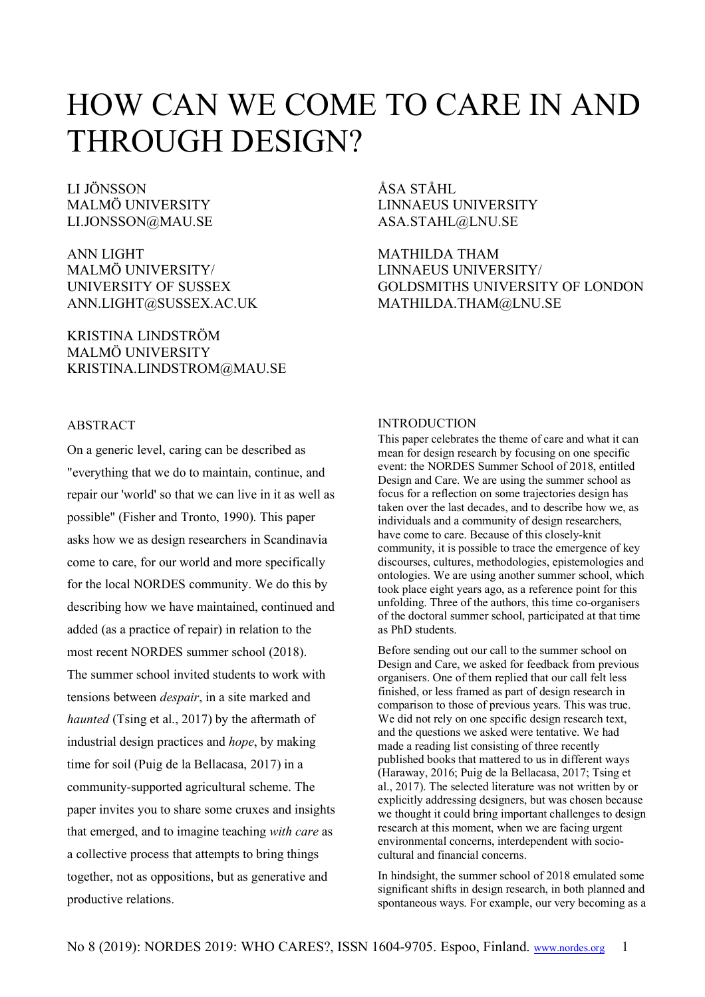# HOW CAN WE COME TO CARE IN AND THROUGH DESIGN?

LI JÖNSSON MALMÖ UNIVERSITY LI.JONSSON@MAU.SE

ANN LIGHT MALMÖ UNIVERSITY/ UNIVERSITY OF SUSSEX ANN.LIGHT@SUSSEX.AC.UK

KRISTINA LINDSTRÖM MALMÖ UNIVERSITY KRISTINA.LINDSTROM@MAU.SE

ÅSA STÅHL LINNAEUS UNIVERSITY ASA.STAHL@LNU.SE

MATHILDA THAM LINNAEUS UNIVERSITY/ GOLDSMITHS UNIVERSITY OF LONDON MATHILDA.THAM@LNU.SE

# ABSTRACT

On a generic level, caring can be described as "everything that we do to maintain, continue, and repair our 'world' so that we can live in it as well as possible" (Fisher and Tronto, 1990). This paper asks how we as design researchers in Scandinavia come to care, for our world and more specifically for the local NORDES community. We do this by describing how we have maintained, continued and added (as a practice of repair) in relation to the most recent NORDES summer school (2018). The summer school invited students to work with tensions between *despair*, in a site marked and *haunted* (Tsing et al., 2017) by the aftermath of industrial design practices and *hope*, by making time for soil (Puig de la Bellacasa, 2017) in a community-supported agricultural scheme. The paper invites you to share some cruxes and insights that emerged, and to imagine teaching *with care* as a collective process that attempts to bring things together, not as oppositions, but as generative and productive relations.

# **INTRODUCTION**

This paper celebrates the theme of care and what it can mean for design research by focusing on one specific event: the NORDES Summer School of 2018, entitled Design and Care. We are using the summer school as focus for a reflection on some trajectories design has taken over the last decades, and to describe how we, as individuals and a community of design researchers, have come to care. Because of this closely-knit community, it is possible to trace the emergence of key discourses, cultures, methodologies, epistemologies and ontologies. We are using another summer school, which took place eight years ago, as a reference point for this unfolding. Three of the authors, this time co-organisers of the doctoral summer school, participated at that time as PhD students.

Before sending out our call to the summer school on Design and Care, we asked for feedback from previous organisers. One of them replied that our call felt less finished, or less framed as part of design research in comparison to those of previous years. This was true. We did not rely on one specific design research text, and the questions we asked were tentative. We had made a reading list consisting of three recently published books that mattered to us in different ways (Haraway, 2016; Puig de la Bellacasa, 2017; Tsing et al., 2017). The selected literature was not written by or explicitly addressing designers, but was chosen because we thought it could bring important challenges to design research at this moment, when we are facing urgent environmental concerns, interdependent with sociocultural and financial concerns.

In hindsight, the summer school of 2018 emulated some significant shifts in design research, in both planned and spontaneous ways. For example, our very becoming as a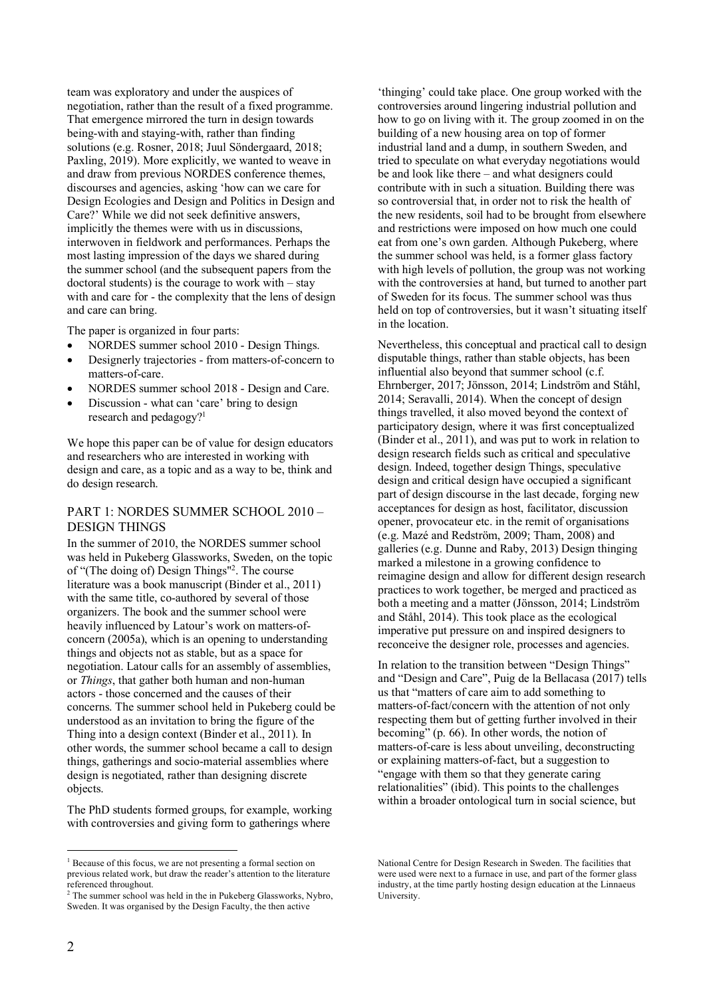team was exploratory and under the auspices of negotiation, rather than the result of a fixed programme. That emergence mirrored the turn in design towards being-with and staying-with, rather than finding solutions (e.g. Rosner, 2018; Juul Söndergaard, 2018; Paxling, 2019). More explicitly, we wanted to weave in and draw from previous NORDES conference themes, discourses and agencies, asking 'how can we care for Design Ecologies and Design and Politics in Design and Care?' While we did not seek definitive answers, implicitly the themes were with us in discussions, interwoven in fieldwork and performances. Perhaps the most lasting impression of the days we shared during the summer school (and the subsequent papers from the doctoral students) is the courage to work with – stay with and care for - the complexity that the lens of design and care can bring.

The paper is organized in four parts:

- NORDES summer school 2010 Design Things.
- Designerly trajectories from matters-of-concern to matters-of-care.
- NORDES summer school 2018 Design and Care.
- Discussion what can 'care' bring to design research and pedagogy?<sup>1</sup>

We hope this paper can be of value for design educators and researchers who are interested in working with design and care, as a topic and as a way to be, think and do design research.

# PART 1: NORDES SUMMER SCHOOL 2010 – DESIGN THINGS

In the summer of 2010, the NORDES summer school was held in Pukeberg Glassworks, Sweden, on the topic of "(The doing of) Design Things"2 . The course literature was a book manuscript (Binder et al., 2011) with the same title, co-authored by several of those organizers. The book and the summer school were heavily influenced by Latour's work on matters-ofconcern (2005a), which is an opening to understanding things and objects not as stable, but as a space for negotiation. Latour calls for an assembly of assemblies, or *Things*, that gather both human and non-human actors - those concerned and the causes of their concerns. The summer school held in Pukeberg could be understood as an invitation to bring the figure of the Thing into a design context (Binder et al., 2011). In other words, the summer school became a call to design things, gatherings and socio-material assemblies where design is negotiated, rather than designing discrete objects.

The PhD students formed groups, for example, working with controversies and giving form to gatherings where

'thinging' could take place. One group worked with the controversies around lingering industrial pollution and how to go on living with it. The group zoomed in on the building of a new housing area on top of former industrial land and a dump, in southern Sweden, and tried to speculate on what everyday negotiations would be and look like there – and what designers could contribute with in such a situation. Building there was so controversial that, in order not to risk the health of the new residents, soil had to be brought from elsewhere and restrictions were imposed on how much one could eat from one's own garden. Although Pukeberg, where the summer school was held, is a former glass factory with high levels of pollution, the group was not working with the controversies at hand, but turned to another part of Sweden for its focus. The summer school was thus held on top of controversies, but it wasn't situating itself in the location.

Nevertheless, this conceptual and practical call to design disputable things, rather than stable objects, has been influential also beyond that summer school (c.f. Ehrnberger, 2017; Jönsson, 2014; Lindström and Ståhl, 2014; Seravalli, 2014). When the concept of design things travelled, it also moved beyond the context of participatory design, where it was first conceptualized (Binder et al., 2011), and was put to work in relation to design research fields such as critical and speculative design. Indeed, together design Things, speculative design and critical design have occupied a significant part of design discourse in the last decade, forging new acceptances for design as host, facilitator, discussion opener, provocateur etc. in the remit of organisations (e.g. Mazé and Redström, 2009; Tham, 2008) and galleries (e.g. Dunne and Raby, 2013) Design thinging marked a milestone in a growing confidence to reimagine design and allow for different design research practices to work together, be merged and practiced as both a meeting and a matter (Jönsson, 2014; Lindström and Ståhl, 2014). This took place as the ecological imperative put pressure on and inspired designers to reconceive the designer role, processes and agencies.

In relation to the transition between "Design Things" and "Design and Care", Puig de la Bellacasa (2017) tells us that "matters of care aim to add something to matters-of-fact/concern with the attention of not only respecting them but of getting further involved in their becoming" (p. 66). In other words, the notion of matters-of-care is less about unveiling, deconstructing or explaining matters-of-fact, but a suggestion to "engage with them so that they generate caring relationalities" (ibid). This points to the challenges within a broader ontological turn in social science, but

<sup>&</sup>lt;sup>1</sup> Because of this focus, we are not presenting a formal section on previous related work, but draw the reader's attention to the literature referenced throughout.

 $2$ <sup>2</sup> The summer school was held in the in Pukeberg Glassworks, Nybro, Sweden. It was organised by the Design Faculty, the then active

National Centre for Design Research in Sweden. The facilities that were used were next to a furnace in use, and part of the former glass industry, at the time partly hosting design education at the Linnaeus **University**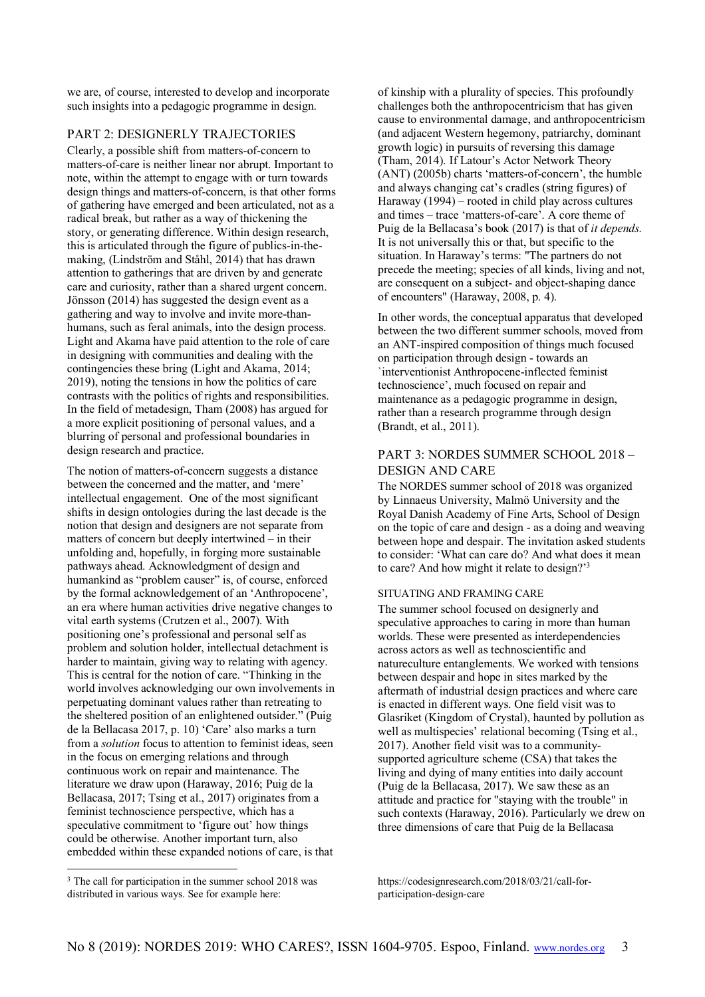we are, of course, interested to develop and incorporate such insights into a pedagogic programme in design.

# PART 2: DESIGNERLY TRAJECTORIES

Clearly, a possible shift from matters-of-concern to matters-of-care is neither linear nor abrupt. Important to note, within the attempt to engage with or turn towards design things and matters-of-concern, is that other forms of gathering have emerged and been articulated, not as a radical break, but rather as a way of thickening the story, or generating difference. Within design research, this is articulated through the figure of publics-in-themaking, (Lindström and Ståhl, 2014) that has drawn attention to gatherings that are driven by and generate care and curiosity, rather than a shared urgent concern. Jönsson (2014) has suggested the design event as a gathering and way to involve and invite more-thanhumans, such as feral animals, into the design process. Light and Akama have paid attention to the role of care in designing with communities and dealing with the contingencies these bring (Light and Akama, 2014; 2019), noting the tensions in how the politics of care contrasts with the politics of rights and responsibilities. In the field of metadesign, Tham (2008) has argued for a more explicit positioning of personal values, and a blurring of personal and professional boundaries in design research and practice.

The notion of matters-of-concern suggests a distance between the concerned and the matter, and 'mere' intellectual engagement. One of the most significant shifts in design ontologies during the last decade is the notion that design and designers are not separate from matters of concern but deeply intertwined – in their unfolding and, hopefully, in forging more sustainable pathways ahead. Acknowledgment of design and humankind as "problem causer" is, of course, enforced by the formal acknowledgement of an 'Anthropocene', an era where human activities drive negative changes to vital earth systems (Crutzen et al., 2007). With positioning one's professional and personal self as problem and solution holder, intellectual detachment is harder to maintain, giving way to relating with agency. This is central for the notion of care. "Thinking in the world involves acknowledging our own involvements in perpetuating dominant values rather than retreating to the sheltered position of an enlightened outsider." (Puig de la Bellacasa 2017, p. 10) 'Care' also marks a turn from a *solution* focus to attention to feminist ideas, seen in the focus on emerging relations and through continuous work on repair and maintenance. The literature we draw upon (Haraway, 2016; Puig de la Bellacasa, 2017; Tsing et al., 2017) originates from a feminist technoscience perspective, which has a speculative commitment to 'figure out' how things could be otherwise. Another important turn, also embedded within these expanded notions of care, is that

of kinship with a plurality of species. This profoundly challenges both the anthropocentricism that has given cause to environmental damage, and anthropocentricism (and adjacent Western hegemony, patriarchy, dominant growth logic) in pursuits of reversing this damage (Tham, 2014). If Latour's Actor Network Theory (ANT) (2005b) charts 'matters-of-concern', the humble and always changing cat's cradles (string figures) of Haraway (1994) – rooted in child play across cultures and times – trace 'matters-of-care'. A core theme of Puig de la Bellacasa's book (2017) is that of *it depends.*  It is not universally this or that, but specific to the situation. In Haraway's terms: "The partners do not precede the meeting; species of all kinds, living and not, are consequent on a subject- and object-shaping dance of encounters" (Haraway, 2008, p. 4).

In other words, the conceptual apparatus that developed between the two different summer schools, moved from an ANT-inspired composition of things much focused on participation through design - towards an `interventionist Anthropocene-inflected feminist technoscience', much focused on repair and maintenance as a pedagogic programme in design, rather than a research programme through design (Brandt, et al., 2011).

# PART 3: NORDES SUMMER SCHOOL 2018 – DESIGN AND CARE

The NORDES summer school of 2018 was organized by Linnaeus University, Malmö University and the Royal Danish Academy of Fine Arts, School of Design on the topic of care and design - as a doing and weaving between hope and despair. The invitation asked students to consider: 'What can care do? And what does it mean to care? And how might it relate to design?' 3

#### SITUATING AND FRAMING CARE

The summer school focused on designerly and speculative approaches to caring in more than human worlds. These were presented as interdependencies across actors as well as technoscientific and natureculture entanglements. We worked with tensions between despair and hope in sites marked by the aftermath of industrial design practices and where care is enacted in different ways. One field visit was to Glasriket (Kingdom of Crystal), haunted by pollution as well as multispecies' relational becoming (Tsing et al., 2017). Another field visit was to a communitysupported agriculture scheme (CSA) that takes the living and dying of many entities into daily account (Puig de la Bellacasa, 2017). We saw these as an attitude and practice for "staying with the trouble" in such contexts (Haraway, 2016). Particularly we drew on three dimensions of care that Puig de la Bellacasa

https://codesignresearch.com/2018/03/21/call-forparticipation-design-care

<sup>&</sup>lt;sup>3</sup> The call for participation in the summer school 2018 was distributed in various ways. See for example here: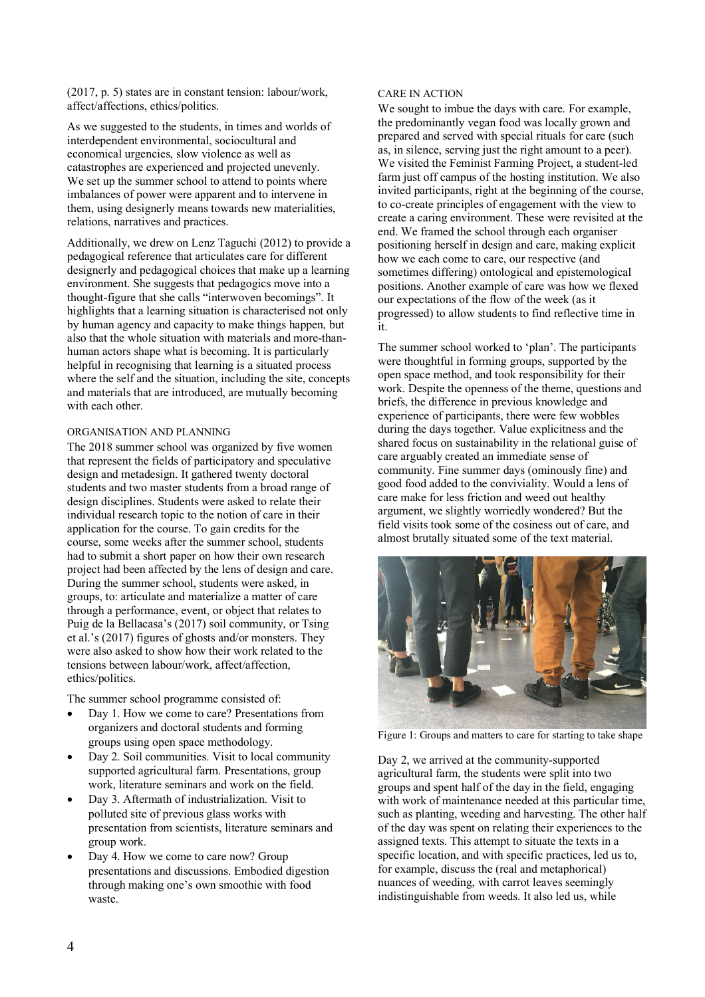(2017, p. 5) states are in constant tension: labour/work, affect/affections, ethics/politics.

As we suggested to the students, in times and worlds of interdependent environmental, sociocultural and economical urgencies, slow violence as well as catastrophes are experienced and projected unevenly. We set up the summer school to attend to points where imbalances of power were apparent and to intervene in them, using designerly means towards new materialities, relations, narratives and practices.

Additionally, we drew on Lenz Taguchi (2012) to provide a pedagogical reference that articulates care for different designerly and pedagogical choices that make up a learning environment. She suggests that pedagogics move into a thought-figure that she calls "interwoven becomings". It highlights that a learning situation is characterised not only by human agency and capacity to make things happen, but also that the whole situation with materials and more-thanhuman actors shape what is becoming. It is particularly helpful in recognising that learning is a situated process where the self and the situation, including the site, concepts and materials that are introduced, are mutually becoming with each other.

### ORGANISATION AND PLANNING

The 2018 summer school was organized by five women that represent the fields of participatory and speculative design and metadesign. It gathered twenty doctoral students and two master students from a broad range of design disciplines. Students were asked to relate their individual research topic to the notion of care in their application for the course. To gain credits for the course, some weeks after the summer school, students had to submit a short paper on how their own research project had been affected by the lens of design and care. During the summer school, students were asked, in groups, to: articulate and materialize a matter of care through a performance, event, or object that relates to Puig de la Bellacasa's (2017) soil community, or Tsing et al.'s (2017) figures of ghosts and/or monsters. They were also asked to show how their work related to the tensions between labour/work, affect/affection, ethics/politics.

The summer school programme consisted of:

- Day 1. How we come to care? Presentations from organizers and doctoral students and forming groups using open space methodology.
- Day 2. Soil communities. Visit to local community supported agricultural farm. Presentations, group work, literature seminars and work on the field.
- Day 3. Aftermath of industrialization. Visit to polluted site of previous glass works with presentation from scientists, literature seminars and group work.
- Day 4. How we come to care now? Group presentations and discussions. Embodied digestion through making one's own smoothie with food waste.

#### CARE IN ACTION

We sought to imbue the days with care. For example, the predominantly vegan food was locally grown and prepared and served with special rituals for care (such as, in silence, serving just the right amount to a peer). We visited the Feminist Farming Project, a student-led farm just off campus of the hosting institution. We also invited participants, right at the beginning of the course, to co-create principles of engagement with the view to create a caring environment. These were revisited at the end. We framed the school through each organiser positioning herself in design and care, making explicit how we each come to care, our respective (and sometimes differing) ontological and epistemological positions. Another example of care was how we flexed our expectations of the flow of the week (as it progressed) to allow students to find reflective time in it.

The summer school worked to 'plan'. The participants were thoughtful in forming groups, supported by the open space method, and took responsibility for their work. Despite the openness of the theme, questions and briefs, the difference in previous knowledge and experience of participants, there were few wobbles during the days together. Value explicitness and the shared focus on sustainability in the relational guise of care arguably created an immediate sense of community. Fine summer days (ominously fine) and good food added to the conviviality. Would a lens of care make for less friction and weed out healthy argument, we slightly worriedly wondered? But the field visits took some of the cosiness out of care, and almost brutally situated some of the text material.



Figure 1: Groups and matters to care for starting to take shape

Day 2, we arrived at the community-supported agricultural farm, the students were split into two groups and spent half of the day in the field, engaging with work of maintenance needed at this particular time, such as planting, weeding and harvesting. The other half of the day was spent on relating their experiences to the assigned texts. This attempt to situate the texts in a specific location, and with specific practices, led us to, for example, discuss the (real and metaphorical) nuances of weeding, with carrot leaves seemingly indistinguishable from weeds. It also led us, while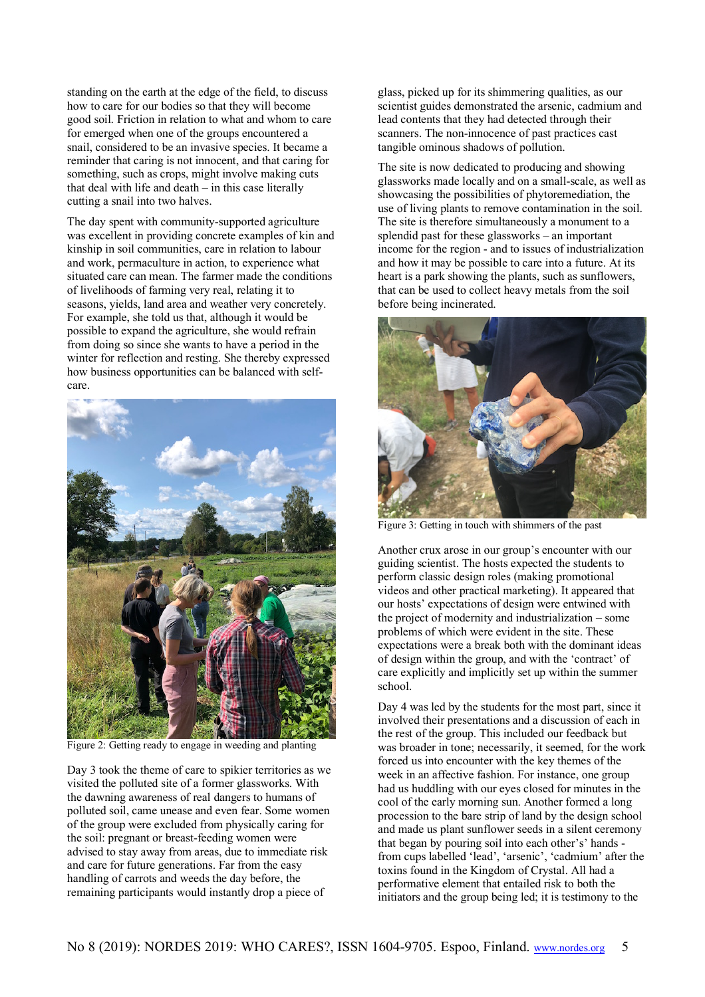standing on the earth at the edge of the field, to discuss how to care for our bodies so that they will become good soil. Friction in relation to what and whom to care for emerged when one of the groups encountered a snail, considered to be an invasive species. It became a reminder that caring is not innocent, and that caring for something, such as crops, might involve making cuts that deal with life and death – in this case literally cutting a snail into two halves.

The day spent with community-supported agriculture was excellent in providing concrete examples of kin and kinship in soil communities, care in relation to labour and work, permaculture in action, to experience what situated care can mean. The farmer made the conditions of livelihoods of farming very real, relating it to seasons, yields, land area and weather very concretely. For example, she told us that, although it would be possible to expand the agriculture, she would refrain from doing so since she wants to have a period in the winter for reflection and resting. She thereby expressed how business opportunities can be balanced with selfcare.



Figure 2: Getting ready to engage in weeding and planting

Day 3 took the theme of care to spikier territories as we visited the polluted site of a former glassworks. With the dawning awareness of real dangers to humans of polluted soil, came unease and even fear. Some women of the group were excluded from physically caring for the soil: pregnant or breast-feeding women were advised to stay away from areas, due to immediate risk and care for future generations. Far from the easy handling of carrots and weeds the day before, the remaining participants would instantly drop a piece of

glass, picked up for its shimmering qualities, as our scientist guides demonstrated the arsenic, cadmium and lead contents that they had detected through their scanners. The non-innocence of past practices cast tangible ominous shadows of pollution.

The site is now dedicated to producing and showing glassworks made locally and on a small-scale, as well as showcasing the possibilities of phytoremediation, the use of living plants to remove contamination in the soil. The site is therefore simultaneously a monument to a splendid past for these glassworks – an important income for the region - and to issues of industrialization and how it may be possible to care into a future. At its heart is a park showing the plants, such as sunflowers, that can be used to collect heavy metals from the soil before being incinerated.



Figure 3: Getting in touch with shimmers of the past

Another crux arose in our group's encounter with our guiding scientist. The hosts expected the students to perform classic design roles (making promotional videos and other practical marketing). It appeared that our hosts' expectations of design were entwined with the project of modernity and industrialization – some problems of which were evident in the site. These expectations were a break both with the dominant ideas of design within the group, and with the 'contract' of care explicitly and implicitly set up within the summer school.

Day 4 was led by the students for the most part, since it involved their presentations and a discussion of each in the rest of the group. This included our feedback but was broader in tone; necessarily, it seemed, for the work forced us into encounter with the key themes of the week in an affective fashion. For instance, one group had us huddling with our eyes closed for minutes in the cool of the early morning sun. Another formed a long procession to the bare strip of land by the design school and made us plant sunflower seeds in a silent ceremony that began by pouring soil into each other's' hands from cups labelled 'lead', 'arsenic', 'cadmium' after the toxins found in the Kingdom of Crystal. All had a performative element that entailed risk to both the initiators and the group being led; it is testimony to the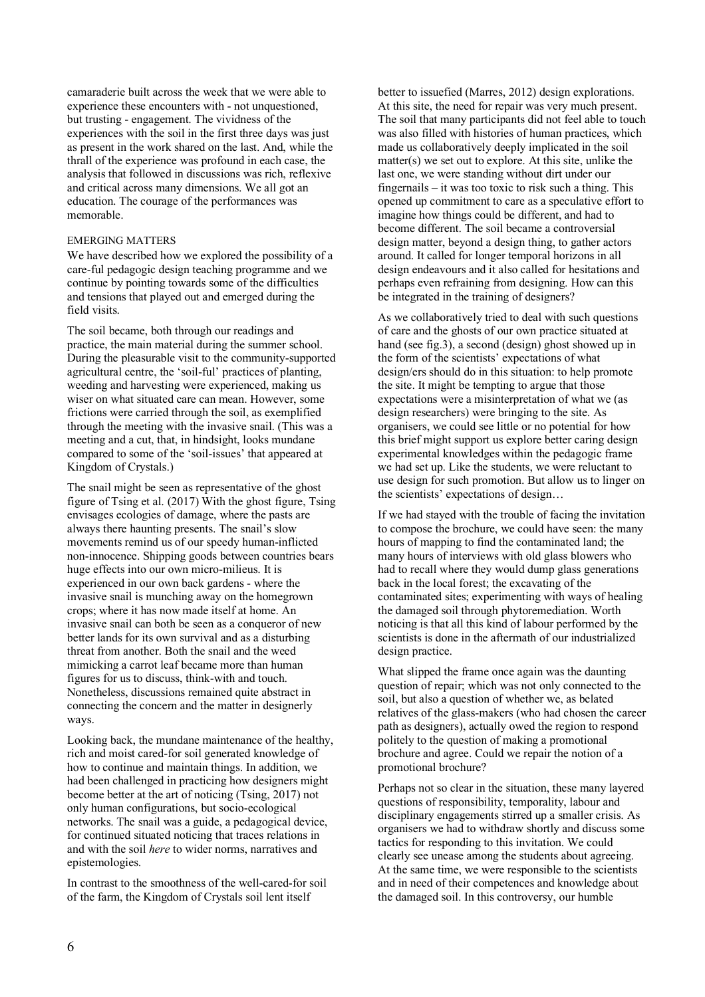camaraderie built across the week that we were able to experience these encounters with - not unquestioned, but trusting - engagement. The vividness of the experiences with the soil in the first three days was just as present in the work shared on the last. And, while the thrall of the experience was profound in each case, the analysis that followed in discussions was rich, reflexive and critical across many dimensions. We all got an education. The courage of the performances was memorable.

#### EMERGING MATTERS

We have described how we explored the possibility of a care-ful pedagogic design teaching programme and we continue by pointing towards some of the difficulties and tensions that played out and emerged during the field visits.

The soil became, both through our readings and practice, the main material during the summer school. During the pleasurable visit to the community-supported agricultural centre, the 'soil-ful' practices of planting, weeding and harvesting were experienced, making us wiser on what situated care can mean. However, some frictions were carried through the soil, as exemplified through the meeting with the invasive snail. (This was a meeting and a cut, that, in hindsight, looks mundane compared to some of the 'soil-issues' that appeared at Kingdom of Crystals.)

The snail might be seen as representative of the ghost figure of Tsing et al. (2017) With the ghost figure, Tsing envisages ecologies of damage, where the pasts are always there haunting presents. The snail's slow movements remind us of our speedy human-inflicted non-innocence. Shipping goods between countries bears huge effects into our own micro-milieus. It is experienced in our own back gardens - where the invasive snail is munching away on the homegrown crops; where it has now made itself at home. An invasive snail can both be seen as a conqueror of new better lands for its own survival and as a disturbing threat from another. Both the snail and the weed mimicking a carrot leaf became more than human figures for us to discuss, think-with and touch. Nonetheless, discussions remained quite abstract in connecting the concern and the matter in designerly ways.

Looking back, the mundane maintenance of the healthy, rich and moist cared-for soil generated knowledge of how to continue and maintain things. In addition, we had been challenged in practicing how designers might become better at the art of noticing (Tsing, 2017) not only human configurations, but socio-ecological networks. The snail was a guide, a pedagogical device, for continued situated noticing that traces relations in and with the soil *here* to wider norms, narratives and epistemologies.

In contrast to the smoothness of the well-cared-for soil of the farm, the Kingdom of Crystals soil lent itself

better to issuefied (Marres, 2012) design explorations. At this site, the need for repair was very much present. The soil that many participants did not feel able to touch was also filled with histories of human practices, which made us collaboratively deeply implicated in the soil matter(s) we set out to explore. At this site, unlike the last one, we were standing without dirt under our fingernails – it was too toxic to risk such a thing. This opened up commitment to care as a speculative effort to imagine how things could be different, and had to become different. The soil became a controversial design matter, beyond a design thing, to gather actors around. It called for longer temporal horizons in all design endeavours and it also called for hesitations and perhaps even refraining from designing. How can this be integrated in the training of designers?

As we collaboratively tried to deal with such questions of care and the ghosts of our own practice situated at hand (see fig.3), a second (design) ghost showed up in the form of the scientists' expectations of what design/ers should do in this situation: to help promote the site. It might be tempting to argue that those expectations were a misinterpretation of what we (as design researchers) were bringing to the site. As organisers, we could see little or no potential for how this brief might support us explore better caring design experimental knowledges within the pedagogic frame we had set up. Like the students, we were reluctant to use design for such promotion. But allow us to linger on the scientists' expectations of design…

If we had stayed with the trouble of facing the invitation to compose the brochure, we could have seen: the many hours of mapping to find the contaminated land; the many hours of interviews with old glass blowers who had to recall where they would dump glass generations back in the local forest; the excavating of the contaminated sites; experimenting with ways of healing the damaged soil through phytoremediation. Worth noticing is that all this kind of labour performed by the scientists is done in the aftermath of our industrialized design practice.

What slipped the frame once again was the daunting question of repair; which was not only connected to the soil, but also a question of whether we, as belated relatives of the glass-makers (who had chosen the career path as designers), actually owed the region to respond politely to the question of making a promotional brochure and agree. Could we repair the notion of a promotional brochure?

Perhaps not so clear in the situation, these many layered questions of responsibility, temporality, labour and disciplinary engagements stirred up a smaller crisis. As organisers we had to withdraw shortly and discuss some tactics for responding to this invitation. We could clearly see unease among the students about agreeing. At the same time, we were responsible to the scientists and in need of their competences and knowledge about the damaged soil. In this controversy, our humble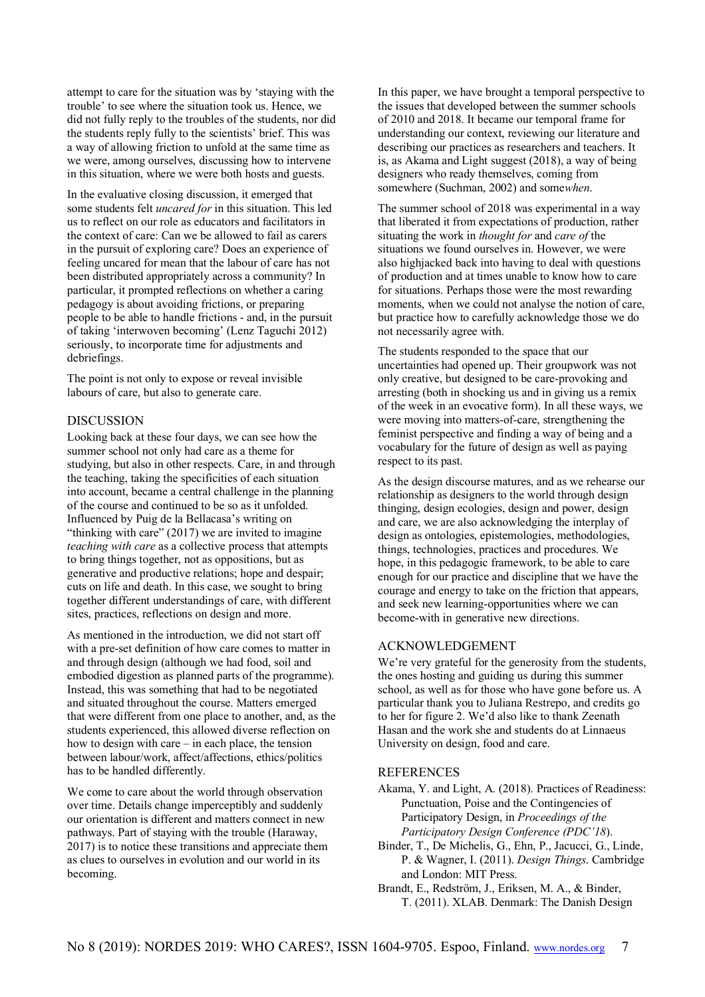attempt to care for the situation was by 'staying with the trouble' to see where the situation took us. Hence, we did not fully reply to the troubles of the students, nor did the students reply fully to the scientists' brief. This was a way of allowing friction to unfold at the same time as we were, among ourselves, discussing how to intervene in this situation, where we were both hosts and guests.

In the evaluative closing discussion, it emerged that some students felt *uncared for* in this situation. This led us to reflect on our role as educators and facilitators in the context of care: Can we be allowed to fail as carers in the pursuit of exploring care? Does an experience of feeling uncared for mean that the labour of care has not been distributed appropriately across a community? In particular, it prompted reflections on whether a caring pedagogy is about avoiding frictions, or preparing people to be able to handle frictions - and, in the pursuit of taking 'interwoven becoming' (Lenz Taguchi 2012) seriously, to incorporate time for adjustments and debriefings.

The point is not only to expose or reveal invisible labours of care, but also to generate care.

#### DISCUSSION

Looking back at these four days, we can see how the summer school not only had care as a theme for studying, but also in other respects. Care, in and through the teaching, taking the specificities of each situation into account, became a central challenge in the planning of the course and continued to be so as it unfolded. Influenced by Puig de la Bellacasa's writing on "thinking with care" (2017) we are invited to imagine *teaching with care* as a collective process that attempts to bring things together, not as oppositions, but as generative and productive relations; hope and despair; cuts on life and death. In this case, we sought to bring together different understandings of care, with different sites, practices, reflections on design and more.

As mentioned in the introduction, we did not start off with a pre-set definition of how care comes to matter in and through design (although we had food, soil and embodied digestion as planned parts of the programme). Instead, this was something that had to be negotiated and situated throughout the course. Matters emerged that were different from one place to another, and, as the students experienced, this allowed diverse reflection on how to design with care – in each place, the tension between labour/work, affect/affections, ethics/politics has to be handled differently.

We come to care about the world through observation over time. Details change imperceptibly and suddenly our orientation is different and matters connect in new pathways. Part of staying with the trouble (Haraway, 2017) is to notice these transitions and appreciate them as clues to ourselves in evolution and our world in its becoming.

In this paper, we have brought a temporal perspective to the issues that developed between the summer schools of 2010 and 2018. It became our temporal frame for understanding our context, reviewing our literature and describing our practices as researchers and teachers. It is, as Akama and Light suggest (2018), a way of being designers who ready themselves, coming from somewhere (Suchman, 2002) and some*when*.

The summer school of 2018 was experimental in a way that liberated it from expectations of production, rather situating the work in *thought for* and *care of* the situations we found ourselves in. However, we were also highjacked back into having to deal with questions of production and at times unable to know how to care for situations. Perhaps those were the most rewarding moments, when we could not analyse the notion of care, but practice how to carefully acknowledge those we do not necessarily agree with.

The students responded to the space that our uncertainties had opened up. Their groupwork was not only creative, but designed to be care-provoking and arresting (both in shocking us and in giving us a remix of the week in an evocative form). In all these ways, we were moving into matters-of-care, strengthening the feminist perspective and finding a way of being and a vocabulary for the future of design as well as paying respect to its past.

As the design discourse matures, and as we rehearse our relationship as designers to the world through design thinging, design ecologies, design and power, design and care, we are also acknowledging the interplay of design as ontologies, epistemologies, methodologies, things, technologies, practices and procedures. We hope, in this pedagogic framework, to be able to care enough for our practice and discipline that we have the courage and energy to take on the friction that appears, and seek new learning-opportunities where we can become-with in generative new directions.

### ACKNOWLEDGEMENT

We're very grateful for the generosity from the students, the ones hosting and guiding us during this summer school, as well as for those who have gone before us. A particular thank you to Juliana Restrepo, and credits go to her for figure 2. We'd also like to thank Zeenath Hasan and the work she and students do at Linnaeus University on design, food and care.

### **REFERENCES**

Akama, Y. and Light, A. (2018). Practices of Readiness: Punctuation, Poise and the Contingencies of Participatory Design, in *Proceedings of the Participatory Design Conference (PDC'18*).

- Binder, T., De Michelis, G., Ehn, P., Jacucci, G., Linde, P. & Wagner, I. (2011). *Design Things*. Cambridge and London: MIT Press.
- Brandt, E., Redström, J., Eriksen, M. A., & Binder, T. (2011). XLAB. Denmark: The Danish Design